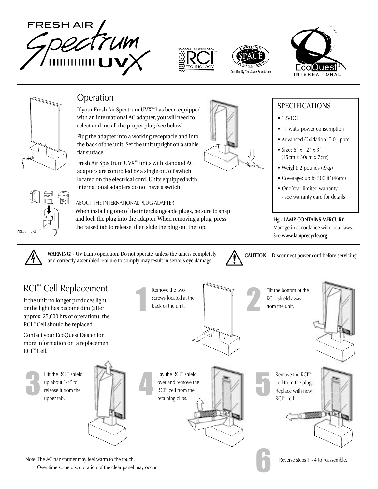









# Operation

If your Fresh Air Spectrum UVX™ has been equipped with an international AC adapter, you will need to select and install the proper plug (see below).

Plug the adapter into a working receptacle and into the back of the unit. Set the unit upright on a stable, flat surface.

Fresh Air Spectrum UVX<sup>™</sup> units with standard AC adapters are controlled by a single on/off switch located on the electrical cord. Units equipped with international adapters do not have a switch.

the raised tab to release, then slide the plug out the top.

When installing one of the interchangeable plugs, be sure to snap and lock the plug into the adapter. When removing a plug, press

## ABOUT THE INTERNATIONAL PLUG ADAPTER:

## **SPECIFICATIONS**

- 12VDC
- 11 watts power consumption
- Advanced Oxidation: 0.01 ppm
- Size: 6" x 12" x 3" (15cm x 30cm x 7cm)
- Weight: 2 pounds (.9kg)
- Coverage: up to 500 ft<sup>2</sup> (46m<sup>2</sup>)
- One Year limited warranty - see warranty card for details

## **Hg - LAMP CONTAINS MERCURY.**

Manage in accordance with local laws. See **www.lamprecycle.org**.



PRESS HERE

**WARNING! COUTION! CAUTION!** Disconnect power cord before servicing.  $\triangle$  **CAUTION!** Disconnect power cord before servicing. and correctly assembled. Failure to comply may result in serious eye damage.



# RCI™ Cell Replacement

If the unit no longer produces light or the light has become dim (after approx. 25,000 hrs of operation), the RCI™ Cell should be replaced.

Contact your EcoQuest Dealer for more information on a replacement RCI™Cell.



 Lift the RCI™ shield up about 1/4" to release it from the upper tab.



 Lay the RCI™ shield over and remove the RCI™ cell from the retaining clips. 3 4 5

Remove the two

back of the unit.



 Tilt the bottom of the RCI™ shield away from the unit.



 Remove the RCI™ cell from the plug. Replace with new RCI™ cell.

6



Note: The AC transformer may feel warm to the touch. The touch and the touch and the touch and the touch and the touch and the touch and the touch and the touch and the touch and the touch and the touch and the touch and t Over time some discoloration of the clear panel may occur.